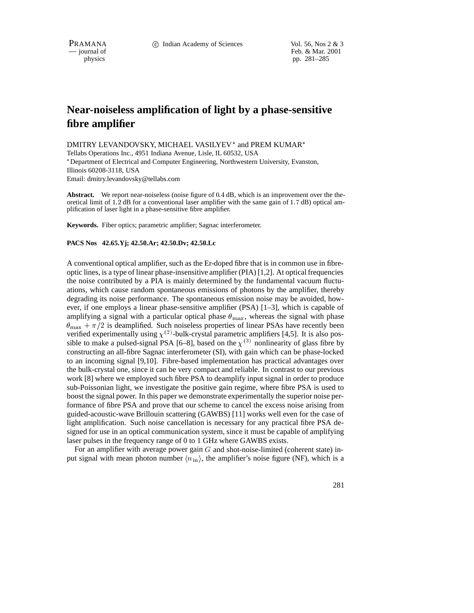PRAMANA 
<sup>c</sup> Indian Academy of Sciences Vol. 56, Nos 2 & 3<br>  $-$  journal of Feb. & Mar. 2001 Feb. & Mar. 2001 physics pp. 281–285

## **Near-noiseless amplification of light by a phase-sensitive fibre amplifier**

DMITRY LEVANDOVSKY, MICHAEL VASILYEV\* and PREM KUMAR\* Tellabs Operations Inc., 4951 Indiana Avenue, Lisle, IL 60532, USA Department of Electrical and Computer Engineering, Northwestern University, Evanston, Illinois 60208-3118, USA

Email: dmitry.levandovsky@tellabs.com

**Abstract.** We report near-noiseless (noise figure of 0:4 dB, which is an improvement over the theoretical limit of 1:2 dB for a conventional laser amplifier with the same gain of 1:7 dB) optical amplification of laser light in a phase-sensitive fibre amplifier.

**Keywords.** Fiber optics; parametric amplifier; Sagnac interferometer.

## **PACS Nos 42.65.Yj; 42.50.Ar; 42.50.Dv; 42.50.Lc**

A conventional optical amplifier, such as the Er-doped fibre that is in common use in fibreoptic lines, is a type of linear phase-insensitive amplifier (PIA) [1,2]. At optical frequencies the noise contributed by a PIA is mainly determined by the fundamental vacuum fluctuations, which cause random spontaneous emissions of photons by the amplifier, thereby degrading its noise performance. The spontaneous emission noise may be avoided, however, if one employs a linear phase-sensitive amplifier (PSA) [1–3], which is capable of amplifying a signal with a particular optical phase  $\theta_{\text{max}}$ , whereas the signal with phase  $\theta_{\text{max}} + \pi/2$  is deamplified. Such noiseless properties of linear PSAs have recently been verified experimentally using  $\chi^{(2)}$ -bulk-crystal parametric amplifiers [4,5]. It is also possible to make a pulsed-signal PSA [6–8], based on the  $\chi$ <sup>(3)</sup> nonlinearity of glass fibre by constructing an all-fibre Sagnac interferometer (SI), with gain which can be phase-locked to an incoming signal [9,10]. Fibre-based implementation has practical advantages over the bulk-crystal one, since it can be very compact and reliable. In contrast to our previous work [8] where we employed such fibre PSA to deamplify input signal in order to produce sub-Poissonian light, we investigate the positive gain regime, where fibre PSA is used to boost the signal power. In this paper we demonstrate experimentally the superior noise performance of fibre PSA and prove that our scheme to cancel the excess noise arising from guided-acoustic-wave Brillouin scattering (GAWBS) [11] works well even for the case of light amplification. Such noise cancellation is necessary for any practical fibre PSA designed for use in an optical communication system, since it must be capable of amplifying laser pulses in the frequency range of 0 to 1 GHz where GAWBS exists.

For an amplifier with average power gain  $G$  and shot-noise-limited (coherent state) input signal with mean photon number  $\langle n_{\rm in} \rangle$ , the amplifier's noise figure (NF), which is a

281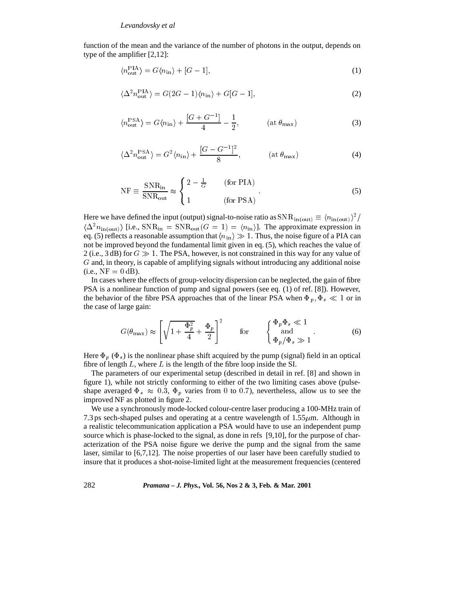function of the mean and the variance of the number of photons in the output, depends on type of the amplifier [2,12]:

$$
\langle n_{\text{out}}^{\text{PIA}} \rangle = G \langle n_{\text{in}} \rangle + [G - 1], \tag{1}
$$

$$
\langle \Delta^2 n_{\text{out}}^{\text{PIA}} \rangle = G(2G - 1)\langle n_{\text{in}} \rangle + G[G - 1],\tag{2}
$$

$$
\langle n_{\text{out}}^{\text{PSA}} \rangle = G \langle n_{\text{in}} \rangle + \frac{[G + G^{-1}]}{4} - \frac{1}{2}, \quad (\text{at } \theta_{\text{max}})
$$
 (3)

$$
\langle \Delta^2 n_{\text{out}}^{\text{PSA}} \rangle = G^2 \langle n_{\text{in}} \rangle + \frac{[G - G^{-1}]^2}{8}, \quad (\text{at } \theta_{\text{max}})
$$
 (4)

$$
NF \equiv \frac{SNR_{in}}{SNR_{out}} \approx \begin{cases} 2 - \frac{1}{G} & \text{(for PIA)}\\ 1 & \text{(for PSA)} \end{cases} . \tag{5}
$$

Here we have defined the input (output) signal-to-noise ratio as  $SNR_{in(out)} \equiv \langle n_{in(out)} \rangle^2$  $\langle \Delta^2 n_{\text{in(out)}} \rangle$  [i.e., SNR<sub>in</sub> = SNR<sub>out</sub>  $(G = 1) = \langle n_{\text{in}} \rangle$ ]. The approximate expression in eq. (5) reflects a reasonable assumption that  $\langle n_{\rm in} \rangle \gg 1$ . Thus, the noise figure of a PIA can not be improved beyond the fundamental limit given in eq. (5), which reaches the value of 2 (i.e., 3 dB) for  $G \gg 1$ . The PSA, however, is not constrained in this way for any value of <sup>G</sup> and, in theory, is capable of amplifying signals without introducing any additional noise  $(i.e., NF = 0 dB).$ 

In cases where the effects of group-velocity dispersion can be neglected, the gain of fibre PSA is a nonlinear function of pump and signal powers (see eq. (1) of ref. [8]). However, the behavior of the fibre PSA approaches that of the linear PSA when  $\Phi_p$ ,  $\Phi_s \ll 1$  or in the case of large gain:

$$
G(\theta_{\max}) \approx \left[\sqrt{1 + \frac{\Phi_p^2}{4}} + \frac{\Phi_p}{2}\right]^2 \quad \text{for} \quad \begin{cases} \Phi_p \Phi_s \ll 1\\ \text{and} \\ \Phi_p / \Phi_s \gg 1 \end{cases} \tag{6}
$$

Here  $\Phi_p$  ( $\Phi_s$ ) is the nonlinear phase shift acquired by the pump (signal) field in an optical fibre of length  $L$ , where  $L$  is the length of the fibre loop inside the SI.

The parameters of our experimental setup (described in detail in ref. [8] and shown in figure 1), while not strictly conforming to either of the two limiting cases above (pulseshape averaged  $\Phi_s \approx 0.3$ ,  $\Phi_p$  varies from 0 to 0.7), nevertheless, allow us to see the improved NF as plotted in figure 2.

We use a synchronously mode-locked colour-centre laser producing a 100-MHz train of 7.3 ps sech-shaped pulses and operating at a centre wavelength of  $1.55 \mu m$ . Although in a realistic telecommunication application a PSA would have to use an independent pump source which is phase-locked to the signal, as done in refs [9,10], for the purpose of characterization of the PSA noise figure we derive the pump and the signal from the same laser, similar to [6,7,12]. The noise properties of our laser have been carefully studied to insure that it produces a shot-noise-limited light at the measurement frequencies (centered

282 *Pramana – J. Phys.,* **Vol. 56, Nos 2 & 3, Feb. & Mar. 2001**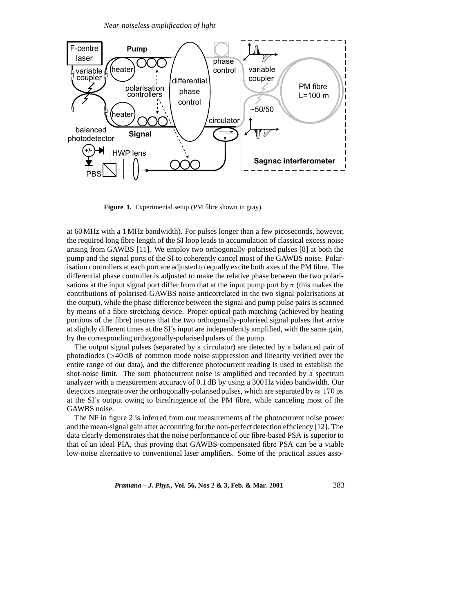

**Figure 1.** Experimental setup (PM fibre shown in gray).

at 60 MHz with a 1 MHz bandwidth). For pulses longer than a few picoseconds, however, the required long fibre length of the SI loop leads to accumulation of classical excess noise arising from GAWBS [11]. We employ two orthogonally-polarised pulses [8] at both the pump and the signal ports of the SI to coherently cancel most of the GAWBS noise. Polarisation controllers at each port are adjusted to equally excite both axes of the PM fibre. The differential phase controller is adjusted to make the relative phase between the two polarisations at the input signal port differ from that at the input pump port by  $\pi$  (this makes the contributions of polarised-GAWBS noise anticorrelated in the two signal polarisations at the output), while the phase difference between the signal and pump pulse pairs is scanned by means of a fibre-stretching device. Proper optical path matching (achieved by heating portions of the fibre) insures that the two orthogonally-polarised signal pulses that arrive at slightly different times at the SI's input are independently amplified, with the same gain, by the corresponding orthogonally-polarised pulses of the pump.

The output signal pulses (separated by a circulator) are detected by a balanced pair of photodiodes (>40 dB of common mode noise suppression and linearity verified over the entire range of our data), and the difference photocurrent reading is used to establish the shot-noise limit. The sum photocurrent noise is amplified and recorded by a spectrum analyzer with a measurement accuracy of 0.1 dB by using a 300 Hz video bandwidth. Our detectors integrate over the orthogonally-polarised pulses, which are separated by  $\approx 170$  ps at the SI's output owing to birefringence of the PM fibre, while canceling most of the GAWBS noise.

The NF in figure 2 is inferred from our measurements of the photocurrent noise power and the mean-signal gain after accounting for the non-perfect detection efficiency [12]. The data clearly demonstrates that the noise performance of our fibre-based PSA is superior to that of an ideal PIA, thus proving that GAWBS-compensated fibre PSA can be a viable low-noise alternative to conventional laser amplifiers. Some of the practical issues asso-

*Pramana – J. Phys.,* **Vol. 56, Nos 2 & 3, Feb. & Mar. 2001** 283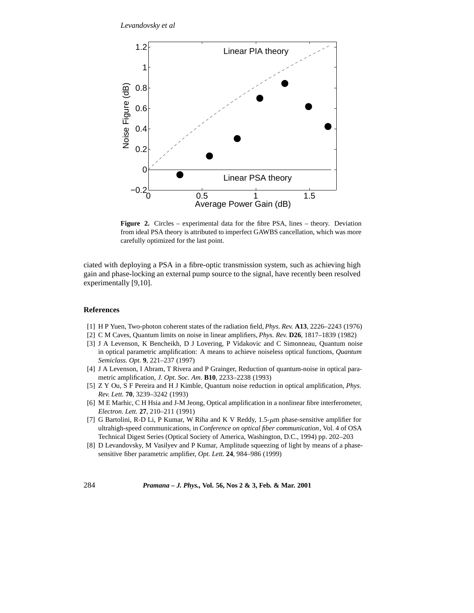

**Figure 2.** Circles – experimental data for the fibre PSA, lines – theory. Deviation from ideal PSA theory is attributed to imperfect GAWBS cancellation, which was more carefully optimized for the last point.

ciated with deploying a PSA in a fibre-optic transmission system, such as achieving high gain and phase-locking an external pump source to the signal, have recently been resolved experimentally [9,10].

## **References**

- [1] H P Yuen, Two-photon coherent states of the radiation field, *Phys. Rev.* **A13**, 2226–2243 (1976)
- [2] C M Caves, Quantum limits on noise in linear amplifiers, *Phys. Rev.* **D26**, 1817–1839 (1982)
- [3] J A Levenson, K Bencheikh, D J Lovering, P Vidakovic and C Simonneau, Quantum noise in optical parametric amplification: A means to achieve noiseless optical functions, *Quantum Semiclass. Opt.* **9**, 221–237 (1997)
- [4] J A Levenson, I Abram, T Rivera and P Grainger, Reduction of quantum-noise in optical parametric amplification, *J. Opt. Soc. Am.* **B10**, 2233–2238 (1993)
- [5] Z Y Ou, S F Pereira and H J Kimble, Quantum noise reduction in optical amplification, *Phys. Rev. Lett.* **70**, 3239–3242 (1993)
- [6] M E Marhic, C H Hsia and J-M Jeong, Optical amplification in a nonlinear fibre interferometer, *Electron. Lett.* **27**, 210–211 (1991)
- [7] G Bartolini, R-D Li, P Kumar, W Riha and K V Reddy,  $1.5-\mu m$  phase-sensitive amplifier for ultrahigh-speed communications, in *Conference on optical fiber communication*, Vol. 4 of OSA Technical Digest Series (Optical Society of America, Washington, D.C., 1994) pp. 202–203
- [8] D Levandovsky, M Vasilyev and P Kumar, Amplitude squeezing of light by means of a phasesensitive fiber parametric amplifier, *Opt. Lett.* **24**, 984–986 (1999)

284 *Pramana – J. Phys.,* **Vol. 56, Nos 2 & 3, Feb. & Mar. 2001**